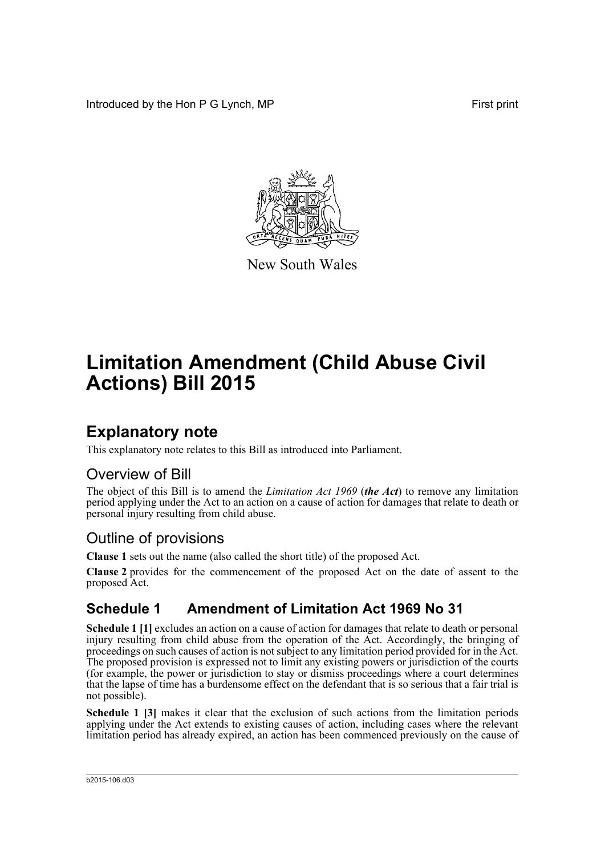Introduced by the Hon P G Lynch, MP First print



New South Wales

# **Limitation Amendment (Child Abuse Civil Actions) Bill 2015**

### **Explanatory note**

This explanatory note relates to this Bill as introduced into Parliament.

#### Overview of Bill

The object of this Bill is to amend the *Limitation Act 1969* (*the Act*) to remove any limitation period applying under the Act to an action on a cause of action for damages that relate to death or personal injury resulting from child abuse.

#### Outline of provisions

**Clause 1** sets out the name (also called the short title) of the proposed Act.

**Clause 2** provides for the commencement of the proposed Act on the date of assent to the proposed Act.

#### **Schedule 1 Amendment of Limitation Act 1969 No 31**

**Schedule 1 [1]** excludes an action on a cause of action for damages that relate to death or personal injury resulting from child abuse from the operation of the Act. Accordingly, the bringing of proceedings on such causes of action is not subject to any limitation period provided for in the Act. The proposed provision is expressed not to limit any existing powers or jurisdiction of the courts (for example, the power or jurisdiction to stay or dismiss proceedings where a court determines that the lapse of time has a burdensome effect on the defendant that is so serious that a fair trial is not possible).

**Schedule 1 [3]** makes it clear that the exclusion of such actions from the limitation periods applying under the Act extends to existing causes of action, including cases where the relevant limitation period has already expired, an action has been commenced previously on the cause of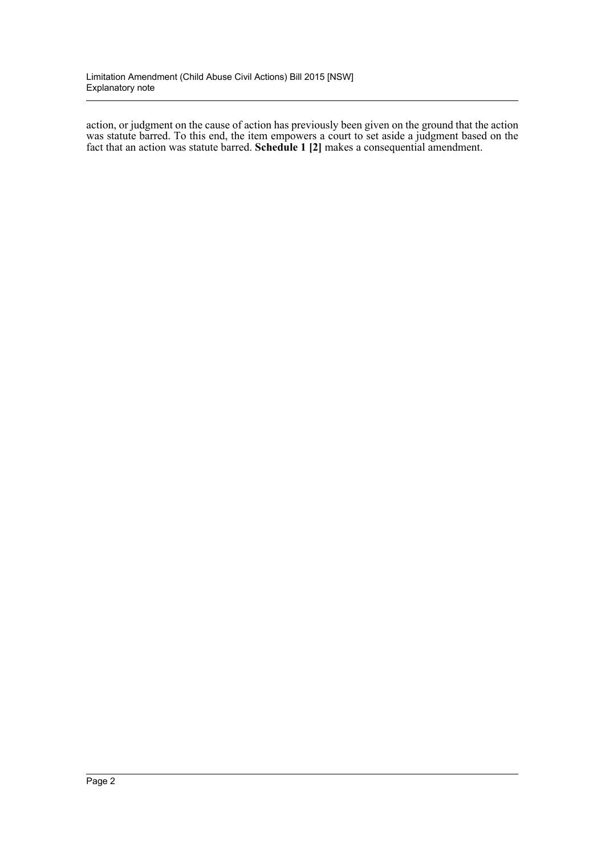action, or judgment on the cause of action has previously been given on the ground that the action was statute barred. To this end, the item empowers a court to set aside a judgment based on the fact that an action was statute barred. **Schedule 1 [2]** makes a consequential amendment.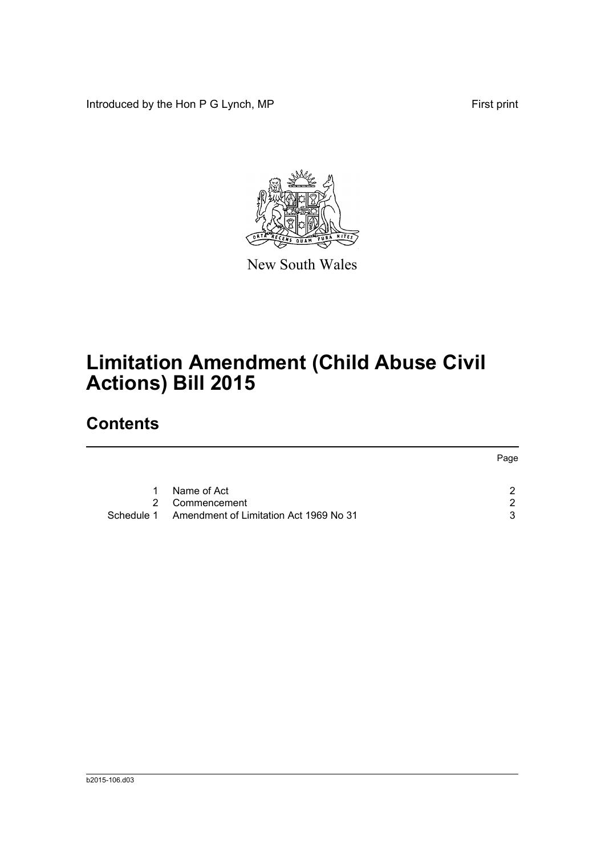Introduced by the Hon P G Lynch, MP First print



New South Wales

## **Limitation Amendment (Child Abuse Civil Actions) Bill 2015**

## **Contents**

|               |                                        | Page |
|---------------|----------------------------------------|------|
| 1.            | Name of Act                            | າ    |
| $\mathcal{P}$ | Commencement                           | ົ    |
| Schedule 1    | Amendment of Limitation Act 1969 No 31 | ર    |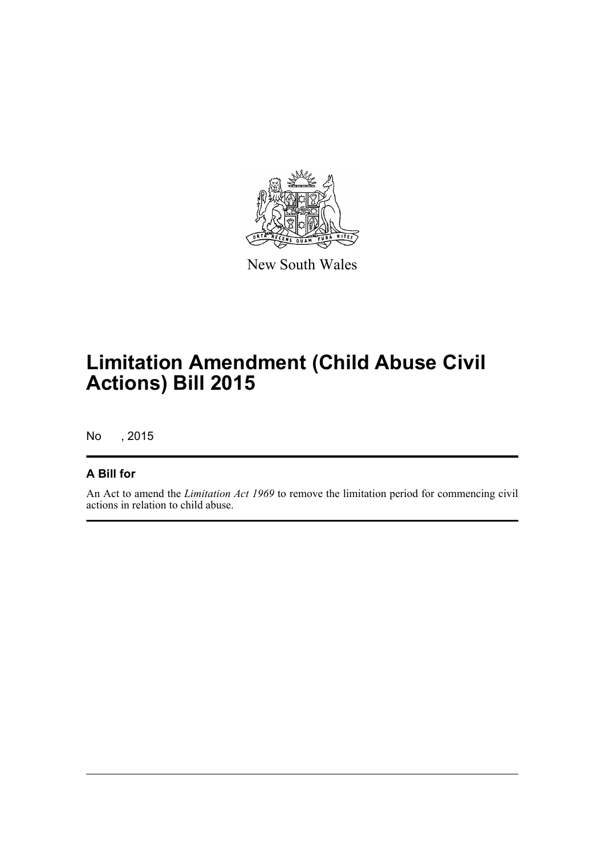

New South Wales

## **Limitation Amendment (Child Abuse Civil Actions) Bill 2015**

No , 2015

#### **A Bill for**

An Act to amend the *Limitation Act 1969* to remove the limitation period for commencing civil actions in relation to child abuse.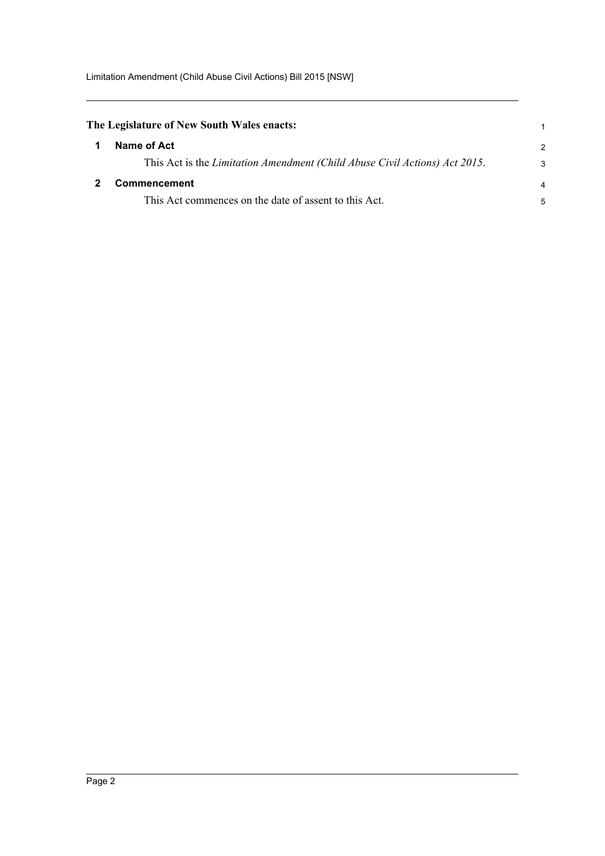<span id="page-4-1"></span><span id="page-4-0"></span>

| The Legislature of New South Wales enacts: |                                                                            |                |
|--------------------------------------------|----------------------------------------------------------------------------|----------------|
|                                            | Name of Act                                                                | 2              |
|                                            | This Act is the Limitation Amendment (Child Abuse Civil Actions) Act 2015. | 3              |
|                                            | <b>Commencement</b>                                                        | $\overline{4}$ |
|                                            | This Act commences on the date of assent to this Act.                      | 5              |
|                                            |                                                                            |                |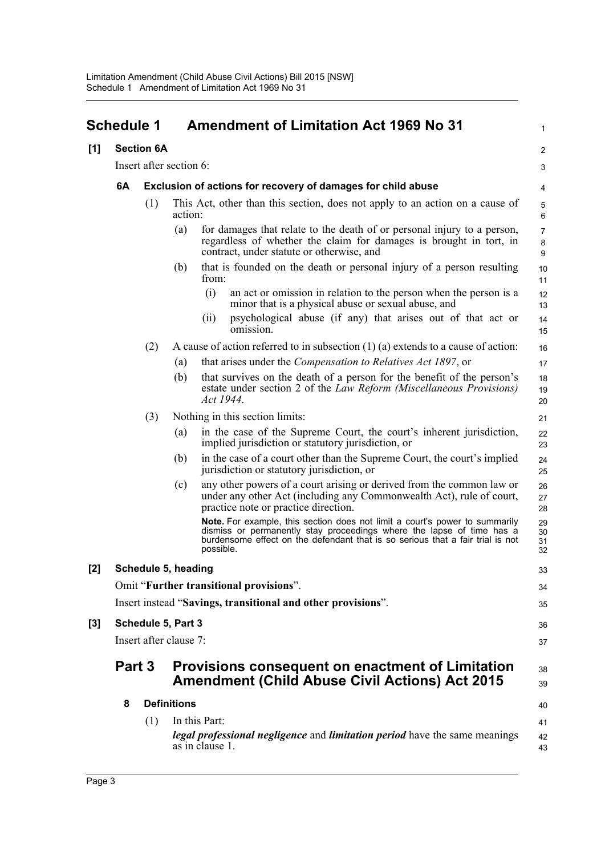<span id="page-5-0"></span>

|                   | <b>Schedule 1</b> |                         |                    | <b>Amendment of Limitation Act 1969 No 31</b>                                                                                                                                                                                                       | $\mathbf{1}$             |
|-------------------|-------------------|-------------------------|--------------------|-----------------------------------------------------------------------------------------------------------------------------------------------------------------------------------------------------------------------------------------------------|--------------------------|
| [1]               |                   | <b>Section 6A</b>       |                    |                                                                                                                                                                                                                                                     | 2                        |
|                   |                   | Insert after section 6: |                    |                                                                                                                                                                                                                                                     | 3                        |
|                   | 6A                |                         |                    | Exclusion of actions for recovery of damages for child abuse                                                                                                                                                                                        | 4                        |
|                   |                   | (1)                     | action:            | This Act, other than this section, does not apply to an action on a cause of                                                                                                                                                                        | 5<br>6                   |
|                   |                   |                         | (a)                | for damages that relate to the death of or personal injury to a person,<br>regardless of whether the claim for damages is brought in tort, in<br>contract, under statute or otherwise, and                                                          | $\overline{7}$<br>8<br>9 |
|                   |                   |                         | (b)                | that is founded on the death or personal injury of a person resulting<br>from:                                                                                                                                                                      | 10<br>11                 |
|                   |                   |                         |                    | (i)<br>an act or omission in relation to the person when the person is a<br>minor that is a physical abuse or sexual abuse, and                                                                                                                     | 12<br>13                 |
|                   |                   |                         |                    | psychological abuse (if any) that arises out of that act or<br>(i)<br>omission.                                                                                                                                                                     | 14<br>15                 |
|                   |                   | (2)                     |                    | A cause of action referred to in subsection $(1)$ $(a)$ extends to a cause of action:                                                                                                                                                               | 16                       |
|                   |                   |                         | (a)                | that arises under the <i>Compensation to Relatives Act 1897</i> , or                                                                                                                                                                                | 17                       |
|                   |                   |                         | (b)                | that survives on the death of a person for the benefit of the person's<br>estate under section 2 of the Law Reform (Miscellaneous Provisions)<br>Act 1944.                                                                                          | 18<br>19<br>20           |
|                   |                   | (3)                     |                    | Nothing in this section limits:                                                                                                                                                                                                                     | 21                       |
|                   |                   |                         | (a)                | in the case of the Supreme Court, the court's inherent jurisdiction,<br>implied jurisdiction or statutory jurisdiction, or                                                                                                                          | 22<br>23                 |
|                   |                   |                         | (b)                | in the case of a court other than the Supreme Court, the court's implied<br>jurisdiction or statutory jurisdiction, or                                                                                                                              | 24<br>25                 |
|                   |                   |                         | (c)                | any other powers of a court arising or derived from the common law or<br>under any other Act (including any Commonwealth Act), rule of court,<br>practice note or practice direction.                                                               | 26<br>27<br>28           |
|                   |                   |                         |                    | Note. For example, this section does not limit a court's power to summarily<br>dismiss or permanently stay proceedings where the lapse of time has a<br>burdensome effect on the defendant that is so serious that a fair trial is not<br>possible. | 29<br>30<br>31<br>32     |
| $\lceil 2 \rceil$ |                   | Schedule 5, heading     |                    |                                                                                                                                                                                                                                                     | 33                       |
|                   |                   |                         |                    | Omit "Further transitional provisions".                                                                                                                                                                                                             | 34                       |
|                   |                   |                         |                    | Insert instead "Savings, transitional and other provisions".                                                                                                                                                                                        | 35                       |
| $[3]$             |                   | Schedule 5, Part 3      |                    |                                                                                                                                                                                                                                                     | 36                       |
|                   |                   | Insert after clause 7:  |                    |                                                                                                                                                                                                                                                     | 37                       |
|                   | Part 3            |                         |                    | <b>Provisions consequent on enactment of Limitation</b><br><b>Amendment (Child Abuse Civil Actions) Act 2015</b>                                                                                                                                    | 38<br>39                 |
|                   | 8                 |                         | <b>Definitions</b> |                                                                                                                                                                                                                                                     | 40                       |
|                   |                   | (1)                     |                    | In this Part:                                                                                                                                                                                                                                       | 41                       |
|                   |                   |                         |                    | legal professional negligence and limitation period have the same meanings<br>as in clause 1.                                                                                                                                                       | 42<br>43                 |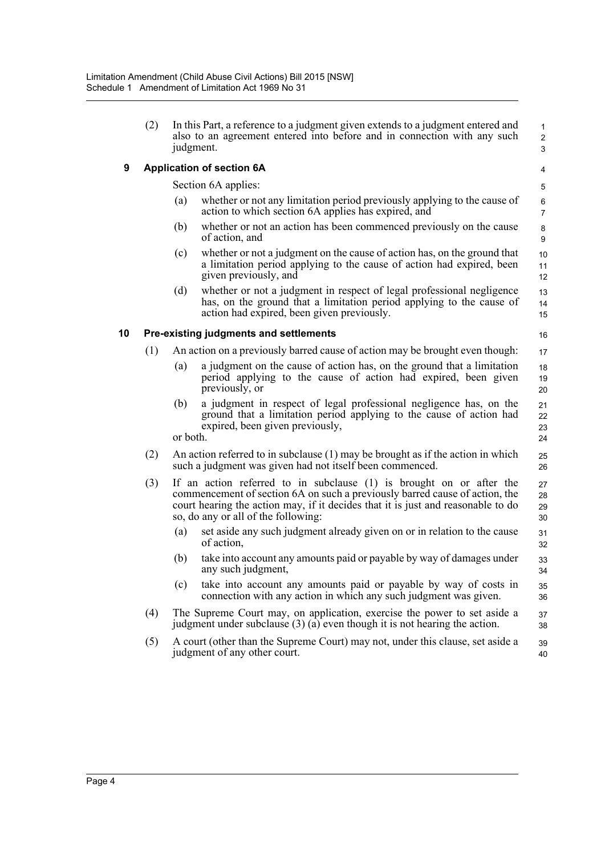|   | In this Part, a reference to a judgment given extends to a judgment entered and<br>also to an agreement entered into before and in connection with any such<br>judgment. |
|---|--------------------------------------------------------------------------------------------------------------------------------------------------------------------------|
| 9 | <b>Application of section 6A</b>                                                                                                                                         |

Section 6A applies:

(a) whether or not any limitation period previously applying to the cause of action to which section 6A applies has expired, and

 1  $\overline{2}$ 3

- (b) whether or not an action has been commenced previously on the cause of action, and
- (c) whether or not a judgment on the cause of action has, on the ground that a limitation period applying to the cause of action had expired, been given previously, and
- (d) whether or not a judgment in respect of legal professional negligence has, on the ground that a limitation period applying to the cause of action had expired, been given previously.

#### **10 Pre-existing judgments and settlements**

- (1) An action on a previously barred cause of action may be brought even though:
	- (a) a judgment on the cause of action has, on the ground that a limitation period applying to the cause of action had expired, been given previously, or
	- (b) a judgment in respect of legal professional negligence has, on the ground that a limitation period applying to the cause of action had expired, been given previously, or both.

(2) An action referred to in subclause (1) may be brought as if the action in which such a judgment was given had not itself been commenced.

- (3) If an action referred to in subclause (1) is brought on or after the commencement of section 6A on such a previously barred cause of action, the court hearing the action may, if it decides that it is just and reasonable to do so, do any or all of the following:
	- (a) set aside any such judgment already given on or in relation to the cause of action,
	- (b) take into account any amounts paid or payable by way of damages under any such judgment,
	- (c) take into account any amounts paid or payable by way of costs in connection with any action in which any such judgment was given. 35 36
- (4) The Supreme Court may, on application, exercise the power to set aside a judgment under subclause (3) (a) even though it is not hearing the action. 37 38
- (5) A court (other than the Supreme Court) may not, under this clause, set aside a judgment of any other court. 39 40